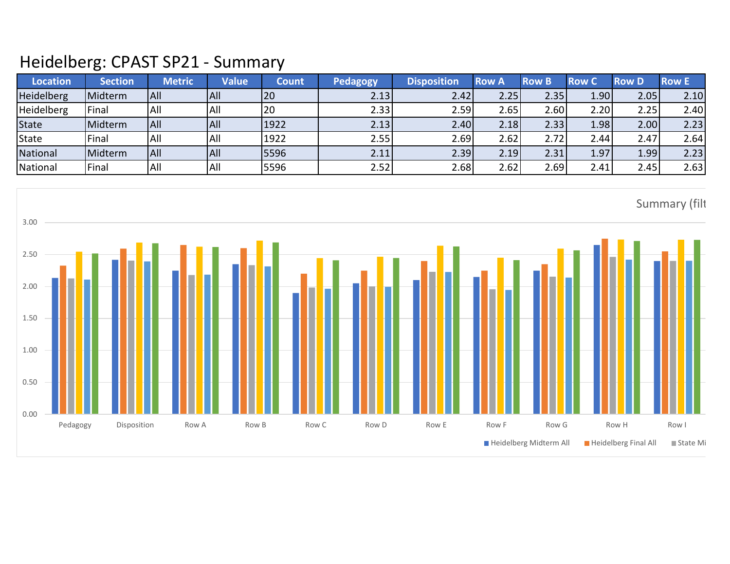## Heidelberg: CPAST SP21 - Summary

| <b>Location</b>   | <b>Section</b> | <b>Metric</b> | <b>Value</b> | Count | <b>Pedagogy</b> | <b>Disposition</b> | <b>Row A</b> | <b>Row B</b>      | <b>Row C</b> | <b>Row D</b> | <b>Row E</b> |
|-------------------|----------------|---------------|--------------|-------|-----------------|--------------------|--------------|-------------------|--------------|--------------|--------------|
| <b>Heidelberg</b> | Midterm        | IAII          | All          | 20    | 2.13            | 2.42               | 2.25         | 2.35              | 1.90         | 2.05         | 2.10         |
| <b>Heidelberg</b> | Final          | <b>All</b>    | All          | .20   | 2.33            | 2.59l              | 2.65         | 2.60              | 2.20         | 2.25         | 2.40         |
| <b>State</b>      | Midterm        | All           | All          | 1922  | 2.13            | 2.40               | 2.18         | 2.33              | 1.98         | 2.00         | 2.23         |
| State             | Final          | All           | All          | 1922  | 2.55            | 2.69               | 2.62         | 2.72 <sub>1</sub> | 2.44         | 2.47         | 2.64         |
| National          | Midterm        | <b>AII</b>    | All          | 5596  | 2.11            | 2.39               | 2.19         | 2.31              | 1.97         | 1.99         | 2.23         |
| National          | Final          | All           | All          | 5596  | 2.52            | 2.68               | 2.62         | 2.69              | 2.41         | 2.45         | 2.63         |

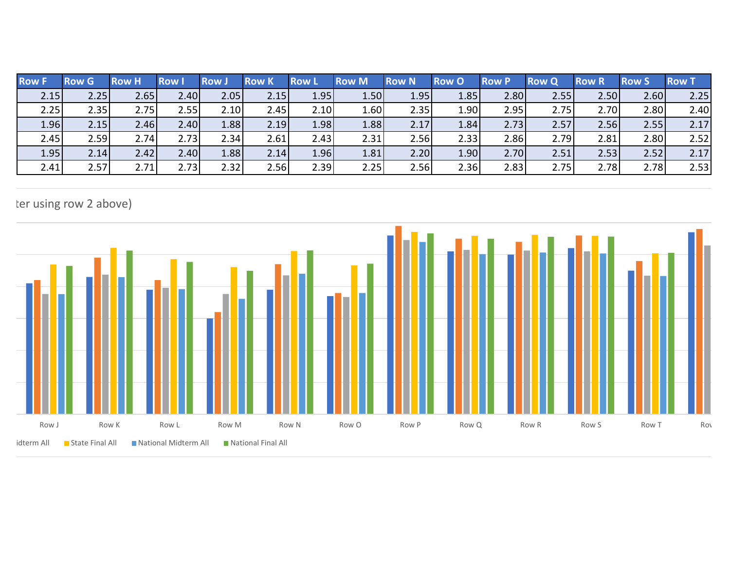| <b>Row F</b> | <b>Row G</b> | <b>Row H</b> | <b>Row</b> | <b>Row</b> | <b>Row K</b> | <b>Row</b> L | <b>Row M</b> | <b>Row N</b> | <b>Row O</b> | <b>Row P</b> | <b>Row Q</b> | <b>Row R</b> | 'Row S | <b>Row T</b> |
|--------------|--------------|--------------|------------|------------|--------------|--------------|--------------|--------------|--------------|--------------|--------------|--------------|--------|--------------|
| 2.15         | 2.25         | 2.65         | 2.40       | 2.05       | 2.15         | 1.95         | 1.50         | 1.95         | 1.85         | 2.80         | 2.55         | 2.50         | 2.60   | 2.25         |
| 2.25         | 2.35         | 2.75         | 2.55       | 2.10       | 2.45         | 2.10         | 1.60         | 2.35         | 1.90         | 2.95         | 2.75         | 2.70         | 2.80   | 2.40         |
| 1.96         | 2.15         | 2.46         | 2.40       | 1.88       | 2.19         | 1.98         | 1.88         | 2.17         | 1.84         | 2.73         | 2.57         | 2.56         | 2.55   | 2.17         |
| 2.45         | 2.59         | 2.74         | 2.73       | 2.34       | 2.61         | 2.43         | 2.31         | 2.56         | 2.33         | 2.86         | 2.79         | 2.81         | 2.80   | 2.52         |
| 1.95         | 2.14         | 2.42         | 2.40       | 1.88       | 2.14         | 1.96         | 1.81         | 2.20         | 1.90         | 2.70         | 2.51         | 2.53         | 2.52   | 2.17         |
| 2.41         | 2.57         | 2.71         | 2.73       | 2.32       | 2.56         | 2.39         | 2.25         | 2.56         | 2.36         | 2.83         | 2.75         | 2.78         | 2.78   | 2.53         |

## ter using row 2 above)